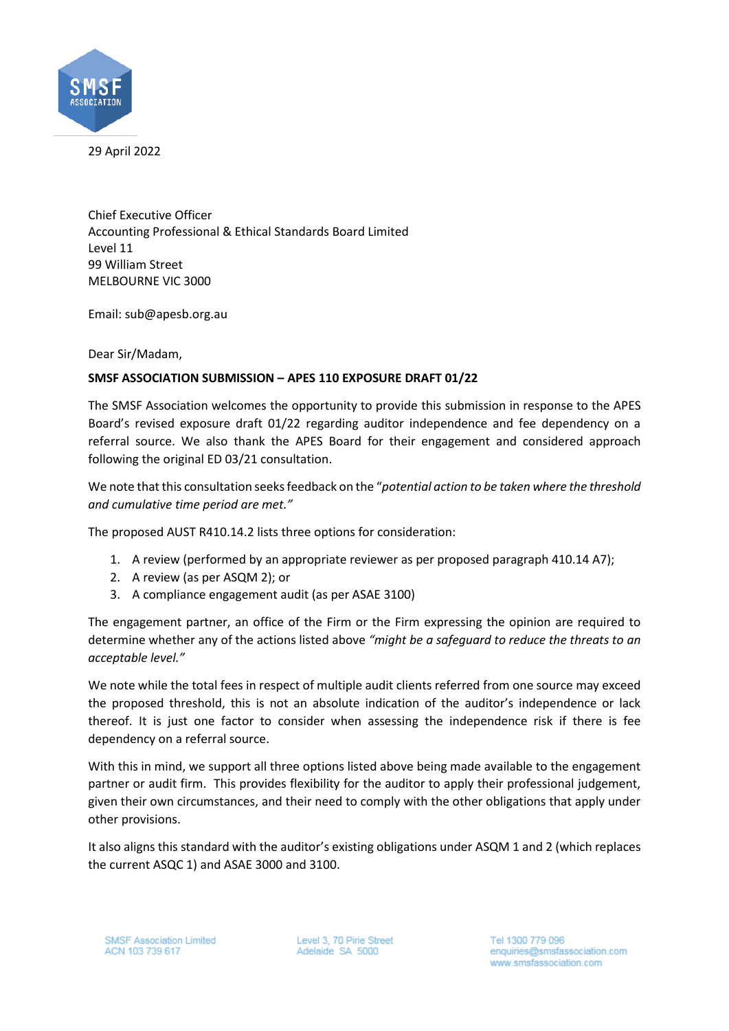

29 April 2022

Chief Executive Officer Accounting Professional & Ethical Standards Board Limited Level 11 99 William Street MELBOURNE VIC 3000

Email: sub@apesb.org.au

Dear Sir/Madam,

## **SMSF ASSOCIATION SUBMISSION – APES 110 EXPOSURE DRAFT 01/22**

The SMSF Association welcomes the opportunity to provide this submission in response to the APES Board's revised exposure draft 01/22 regarding auditor independence and fee dependency on a referral source. We also thank the APES Board for their engagement and considered approach following the original ED 03/21 consultation.

We note that this consultation seeks feedback on the "*potential action to be taken where the threshold and cumulative time period are met."*

The proposed AUST R410.14.2 lists three options for consideration:

- 1. A review (performed by an appropriate reviewer as per proposed paragraph 410.14 A7);
- 2. A review (as per ASQM 2); or
- 3. A compliance engagement audit (as per ASAE 3100)

The engagement partner, an office of the Firm or the Firm expressing the opinion are required to determine whether any of the actions listed above *"might be a safeguard to reduce the threats to an acceptable level."*

We note while the total fees in respect of multiple audit clients referred from one source may exceed the proposed threshold, this is not an absolute indication of the auditor's independence or lack thereof. It is just one factor to consider when assessing the independence risk if there is fee dependency on a referral source.

With this in mind, we support all three options listed above being made available to the engagement partner or audit firm. This provides flexibility for the auditor to apply their professional judgement, given their own circumstances, and their need to comply with the other obligations that apply under other provisions.

It also aligns this standard with the auditor's existing obligations under ASQM 1 and 2 (which replaces the current ASQC 1) and ASAE 3000 and 3100.

Level 3, 70 Pirie Street Adelaide SA 5000